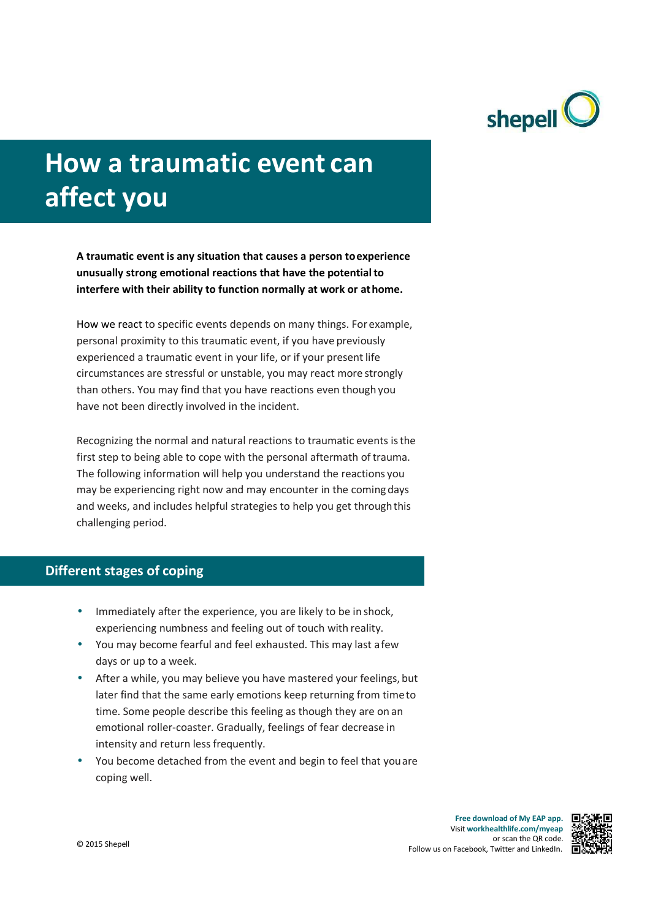

# **How a traumatic event can affect you**

**A traumatic event is any situation that causes a person to experience unusually strong emotional reactions that have the potential to interfere with their ability to function normally at work or at home.**

How we react to specific events depends on many things. For example, personal proximity to this traumatic event, if you have previously experienced a traumatic event in your life, or if your present life circumstances are stressful or unstable, you may react more strongly than others. You may find that you have reactions even though you have not been directly involved in the incident.

Recognizing the normal and natural reactions to traumatic events is the first step to being able to cope with the personal aftermath of trauma. The following information will help you understand the reactions you may be experiencing right now and may encounter in the coming days and weeks, and includes helpful strategies to help you get through this challenging period.

## **Different stages of coping**

- Immediately after the experience, you are likely to be in shock, experiencing numbness and feeling out of touch with reality.
- You may become fearful and feel exhausted. This may last a few days or up to a week.
- After a while, you may believe you have mastered your feelings, but later find that the same early emotions keep returning from time to time. Some people describe this feeling as though they are on an emotional roller-coaster. Gradually, feelings of fear decrease in intensity and return less frequently.
- You become detached from the event and begin to feel that you are coping well.